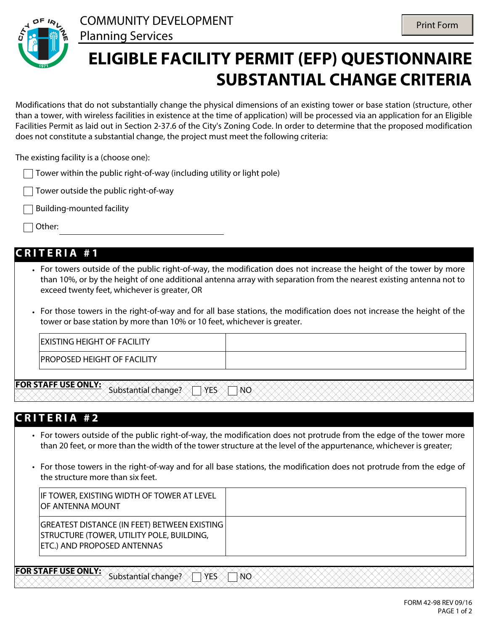

## **ELIGIBLE FACILITY PERMIT (EFP) QUESTIONNAIRE SUBSTANTIAL CHANGE CRITERIA**

Modifications that do not substantially change the physical dimensions of an existing tower or base station (structure, other than a tower, with wireless facilities in existence at the time of application) will be processed via an application for an Eligible Facilities Permit as laid out in Section 2-37.6 of the City's Zoning Code. In order to determine that the proposed modification does not constitute a substantial change, the project must meet the following criteria:

The existing facility is a (choose one):

- Tower within the public right-of-way (including utility or light pole)
- Tower outside the public right-of-way
- Building-mounted facility
- Other:

#### **C R I T E R I A # 1**

- For towers outside of the public right-of-way, the modification does not increase the height of the tower by more • than 10%, or by the height of one additional antenna array with separation from the nearest existing antenna not to exceed twenty feet, whichever is greater, OR
- For those towers in the right-of-way and for all base stations, the modification does not increase the height of the • tower or base station by more than 10% or 10 feet, whichever is greater.

| <b>EXISTING HEIGHT OF FACILITY</b> |  |
|------------------------------------|--|
| <b>PROPOSED HEIGHT OF FACILITY</b> |  |

**FOR STAFF USE ONLY:** Substantial change? TYES TWO

#### **C R I T E R I A # 2**

- For towers outside of the public right-of-way, the modification does not protrude from the edge of the tower more than 20 feet, or more than the width of the tower structure at the level of the appurtenance, whichever is greater;
- For those towers in the right-of-way and for all base stations, the modification does not protrude from the edge of the structure more than six feet.

| IF TOWER, EXISTING WIDTH OF TOWER AT LEVEL<br><b>IOF ANTENNA MOUNT</b>                                                                        |  |
|-----------------------------------------------------------------------------------------------------------------------------------------------|--|
| <b>GREATEST DISTANCE (IN FEET) BETWEEN EXISTING</b><br><b>STRUCTURE (TOWER, UTILITY POLE, BUILDING,</b><br><b>ETC.) AND PROPOSED ANTENNAS</b> |  |

**FOR STAFF USE ONLY:** Substantial change? YES NO